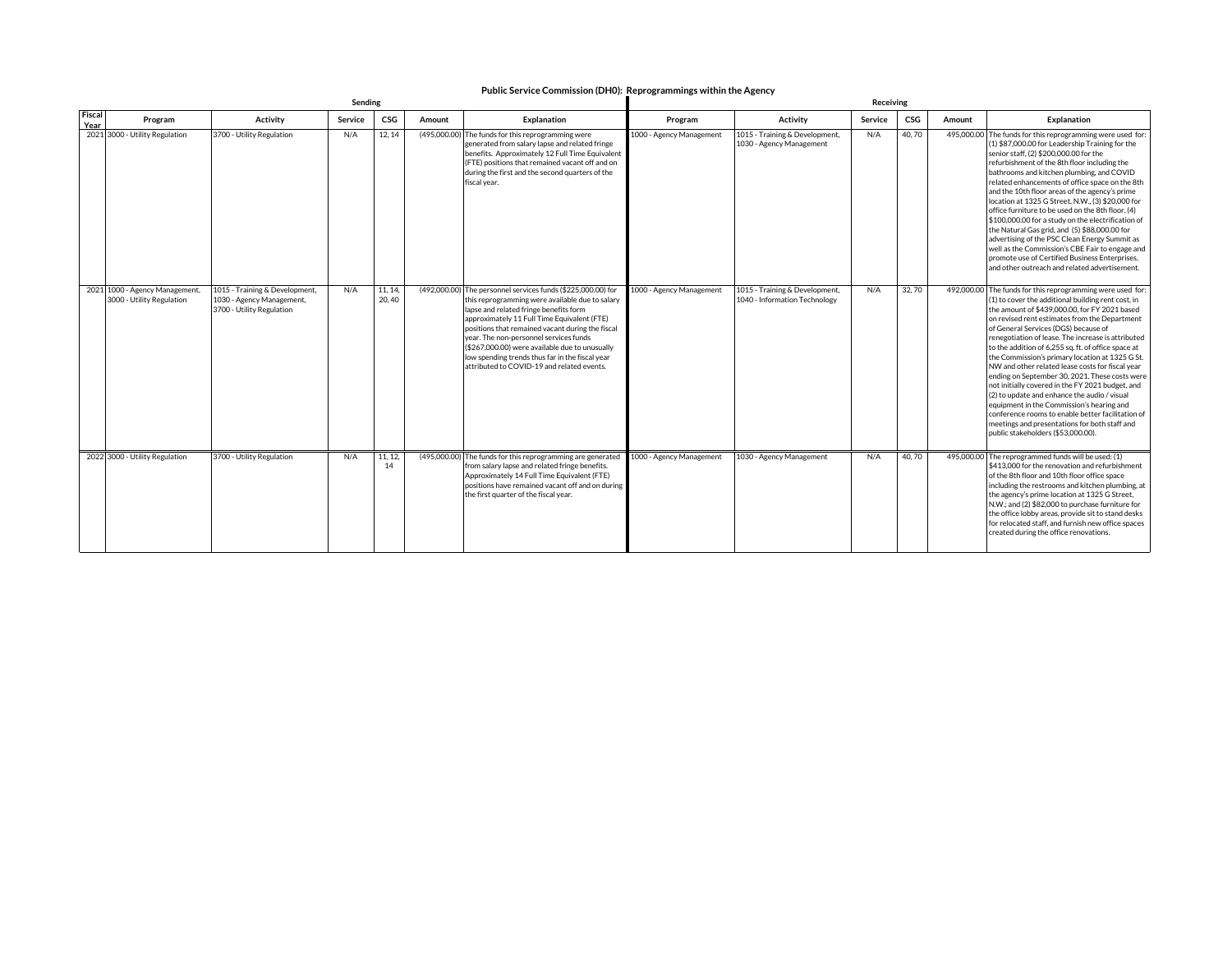## **Public Service Commission (DH0): Reprogrammings within the Agency Sending Receiving**

|                | sending                                                     |                                                                                          |         |                  |                                                                                                                                                                                                                                                                                                                                                                                                                                                           |                          | <b>Receiving</b>                                                |         |       |        |                                                                                                                                                                                                                                                                                                                                                                                                                                                                                                                                                                                                                                                                                                                                                                                                                               |  |  |
|----------------|-------------------------------------------------------------|------------------------------------------------------------------------------------------|---------|------------------|-----------------------------------------------------------------------------------------------------------------------------------------------------------------------------------------------------------------------------------------------------------------------------------------------------------------------------------------------------------------------------------------------------------------------------------------------------------|--------------------------|-----------------------------------------------------------------|---------|-------|--------|-------------------------------------------------------------------------------------------------------------------------------------------------------------------------------------------------------------------------------------------------------------------------------------------------------------------------------------------------------------------------------------------------------------------------------------------------------------------------------------------------------------------------------------------------------------------------------------------------------------------------------------------------------------------------------------------------------------------------------------------------------------------------------------------------------------------------------|--|--|
| Fiscal<br>Year | Program                                                     | <b>Activity</b>                                                                          | Service | CSG              | Amount<br><b>Explanation</b>                                                                                                                                                                                                                                                                                                                                                                                                                              | Program                  | <b>Activity</b>                                                 | Service | CSG   | Amount | <b>Explanation</b>                                                                                                                                                                                                                                                                                                                                                                                                                                                                                                                                                                                                                                                                                                                                                                                                            |  |  |
|                | 2021 3000 - Utility Regulation                              | 3700 - Utility Regulation                                                                | N/A     | 12, 14           | (495,000.00) The funds for this reprogramming were<br>generated from salary lapse and related fringe<br>benefits. Approximately 12 Full Time Equivalent<br>(FTE) positions that remained vacant off and on<br>during the first and the second quarters of the<br>fiscal year.                                                                                                                                                                             | 1000 - Agency Management | 1015 - Training & Development,<br>1030 - Agency Management      | N/A     | 40,70 |        | 495,000.00 The funds for this reprogramming were used for:<br>(1) \$87,000.00 for Leadership Training for the<br>senior staff, (2) \$200,000.00 for the<br>refurbishment of the 8th floor including the<br>bathrooms and kitchen plumbing, and COVID<br>related enhancements of office space on the 8th<br>and the 10th floor areas of the agency's prime<br>location at 1325 G Street, N.W., (3) \$20,000 for<br>office furniture to be used on the 8th floor, (4)<br>\$100,000.00 for a study on the electrification of<br>the Natural Gas grid, and (5) \$88,000.00 for<br>advertising of the PSC Clean Energy Summit as<br>well as the Commission's CBE Fair to engage and<br>promote use of Certified Business Enterprises.<br>and other outreach and related advertisement.                                             |  |  |
|                | 2021 1000 - Agency Management,<br>3000 - Utility Regulation | 1015 - Training & Development,<br>1030 - Agency Management,<br>3700 - Utility Regulation | N/A     | 11, 14,<br>20.40 | (492,000.00) The personnel services funds (\$225,000.00) for<br>this reprogramming were available due to salary<br>lapse and related fringe benefits form<br>approximately 11 Full Time Equivalent (FTE)<br>positions that remained vacant during the fiscal<br>year. The non-personnel services funds<br>(\$267,000.00) were available due to unusually<br>low spending trends thus far in the fiscal year<br>attributed to COVID-19 and related events. | 1000 - Agency Management | 1015 - Training & Development,<br>1040 - Information Technology | N/A     | 32,70 |        | 492,000.00 The funds for this reprogramming were used for:<br>(1) to cover the additional building rent cost, in<br>the amount of \$439,000,00, for FY 2021 based<br>on revised rent estimates from the Department<br>of General Services (DGS) because of<br>renegotiation of lease. The increase is attributed<br>to the addition of 6,255 sq. ft. of office space at<br>the Commission's primary location at 1325 G St.<br>NW and other related lease costs for fiscal year<br>ending on September 30, 2021. These costs were<br>not initially covered in the FY 2021 budget, and<br>(2) to update and enhance the audio / visual<br>equipment in the Commission's hearing and<br>conference rooms to enable better facilitation of<br>meetings and presentations for both staff and<br>public stakeholders (\$53,000.00). |  |  |
|                | 2022 3000 - Utility Regulation                              | 3700 - Utility Regulation                                                                | N/A     | 11, 12,<br>14    | (495,000.00) The funds for this reprogramming are generated<br>from salary lapse and related fringe benefits.<br>Approximately 14 Full Time Equivalent (FTE)<br>positions have remained vacant off and on during<br>the first quarter of the fiscal year.                                                                                                                                                                                                 | 1000 - Agency Management | 1030 - Agency Management                                        | N/A     | 40,70 |        | 495,000.00 The reprogrammed funds will be used: (1)<br>\$413,000 for the renovation and refurbishment<br>of the 8th floor and 10th floor office space<br>including the restrooms and kitchen plumbing, at<br>the agency's prime location at 1325 G Street,<br>N.W.; and (2) \$82,000 to purchase furniture for<br>the office lobby areas, provide sit to stand desks<br>for relocated staff, and furnish new office spaces<br>created during the office renovations.                                                                                                                                                                                                                                                                                                                                                          |  |  |